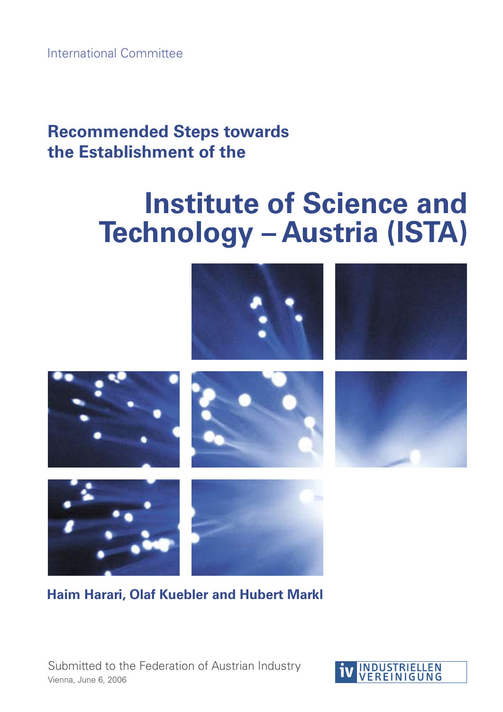International Committee

# **Recommended Steps towards the Establishment of the**

# **Institute of Science and Technology – Austria (ISTA)**







**Haim Harari, Olaf Kuebler and Hubert Markl**

Submitted to the Federation of Austrian Industry Vienna, June 6, 2006

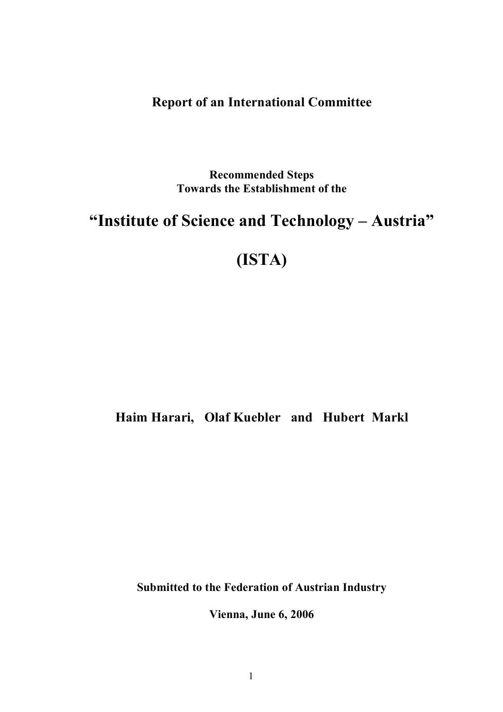### **Report of an International Committee**

**Recommended Steps Towards the Establishment of the**

# **"Institute of Science and Technology – Austria"**

# **(ISTA)**

## **Haim Harari, Olaf Kuebler and Hubert Markl**

**Submitted to the Federation of Austrian Industry**

**Vienna, June 6, 2006**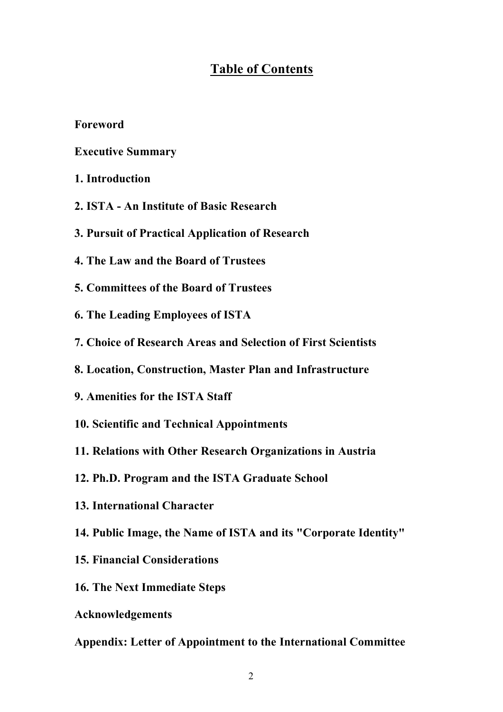#### **Table of Contents**

**Foreword**

**Executive Summary**

- **1. Introduction**
- **2. ISTA - An Institute of Basic Research**
- **3. Pursuit of Practical Application of Research**
- **4. The Law and the Board of Trustees**
- **5. Committees of the Board of Trustees**
- **6. The Leading Employees of ISTA**
- **7. Choice of Research Areas and Selection of First Scientists**
- **8. Location, Construction, Master Plan and Infrastructure**
- **9. Amenities for the ISTA Staff**
- **10. Scientific and Technical Appointments**
- **11. Relations with Other Research Organizations in Austria**
- **12. Ph.D. Program and the ISTA Graduate School**
- **13. International Character**
- **14. Public Image, the Name of ISTA and its "Corporate Identity"**
- **15. Financial Considerations**
- **16. The Next Immediate Steps**
- **Acknowledgements**

#### **Appendix: Letter of Appointment to the International Committee**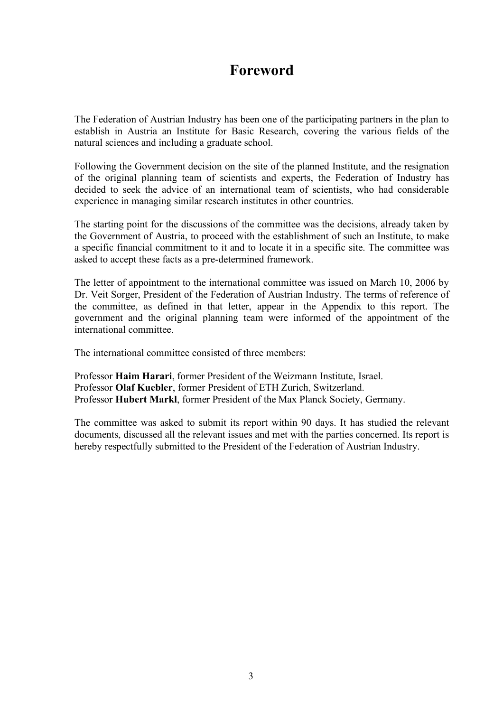## **Foreword**

The Federation of Austrian Industry has been one of the participating partners in the plan to establish in Austria an Institute for Basic Research, covering the various fields of the natural sciences and including a graduate school.

Following the Government decision on the site of the planned Institute, and the resignation of the original planning team of scientists and experts, the Federation of Industry has decided to seek the advice of an international team of scientists, who had considerable experience in managing similar research institutes in other countries.

The starting point for the discussions of the committee was the decisions, already taken by the Government of Austria, to proceed with the establishment of such an Institute, to make a specific financial commitment to it and to locate it in a specific site. The committee was asked to accept these facts as a pre-determined framework.

The letter of appointment to the international committee was issued on March 10, 2006 by Dr. Veit Sorger, President of the Federation of Austrian Industry. The terms of reference of the committee, as defined in that letter, appear in the Appendix to this report. The government and the original planning team were informed of the appointment of the international committee.

The international committee consisted of three members:

Professor **Haim Harari**, former President of the Weizmann Institute, Israel. Professor **Olaf Kuebler**, former President of ETH Zurich, Switzerland. Professor **Hubert Markl**, former President of the Max Planck Society, Germany.

The committee was asked to submit its report within 90 days. It has studied the relevant documents, discussed all the relevant issues and met with the parties concerned. Its report is hereby respectfully submitted to the President of the Federation of Austrian Industry.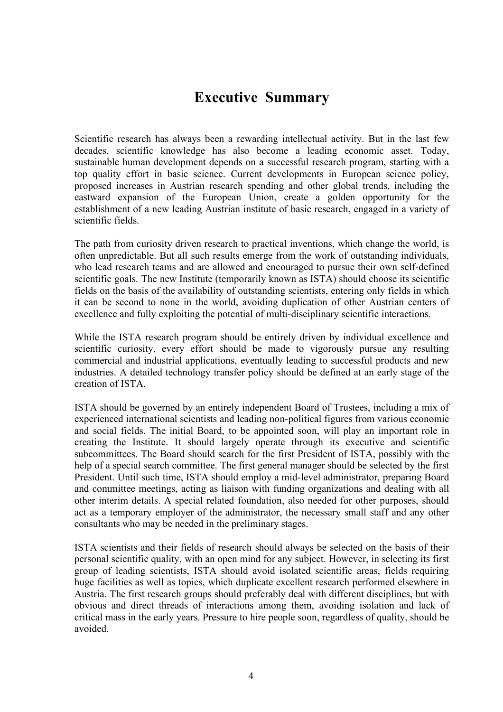## **Executive Summary**

Scientific research has always been a rewarding intellectual activity. But in the last few decades, scientific knowledge has also become a leading economic asset. Today, sustainable human development depends on a successful research program, starting with a top quality effort in basic science. Current developments in European science policy, proposed increases in Austrian research spending and other global trends, including the eastward expansion of the European Union, create a golden opportunity for the establishment of a new leading Austrian institute of basic research, engaged in a variety of scientific fields.

The path from curiosity driven research to practical inventions, which change the world, is often unpredictable. But all such results emerge from the work of outstanding individuals, who lead research teams and are allowed and encouraged to pursue their own self-defined scientific goals. The new Institute (temporarily known as ISTA) should choose its scientific fields on the basis of the availability of outstanding scientists, entering only fields in which it can be second to none in the world, avoiding duplication of other Austrian centers of excellence and fully exploiting the potential of multi-disciplinary scientific interactions.

While the ISTA research program should be entirely driven by individual excellence and scientific curiosity, every effort should be made to vigorously pursue any resulting commercial and industrial applications, eventually leading to successful products and new industries. A detailed technology transfer policy should be defined at an early stage of the creation of ISTA.

ISTA should be governed by an entirely independent Board of Trustees, including a mix of experienced international scientists and leading non-political figures from various economic and social fields. The initial Board, to be appointed soon, will play an important role in creating the Institute. It should largely operate through its executive and scientific subcommittees. The Board should search for the first President of ISTA, possibly with the help of a special search committee. The first general manager should be selected by the first President. Until such time, ISTA should employ a mid-level administrator, preparing Board and committee meetings, acting as liaison with funding organizations and dealing with all other interim details. A special related foundation, also needed for other purposes, should act as a temporary employer of the administrator, the necessary small staff and any other consultants who may be needed in the preliminary stages.

ISTA scientists and their fields of research should always be selected on the basis of their personal scientific quality, with an open mind for any subject. However, in selecting its first group of leading scientists, ISTA should avoid isolated scientific areas, fields requiring huge facilities as well as topics, which duplicate excellent research performed elsewhere in Austria. The first research groups should preferably deal with different disciplines, but with obvious and direct threads of interactions among them, avoiding isolation and lack of critical mass in the early years. Pressure to hire people soon, regardless of quality, should be avoided.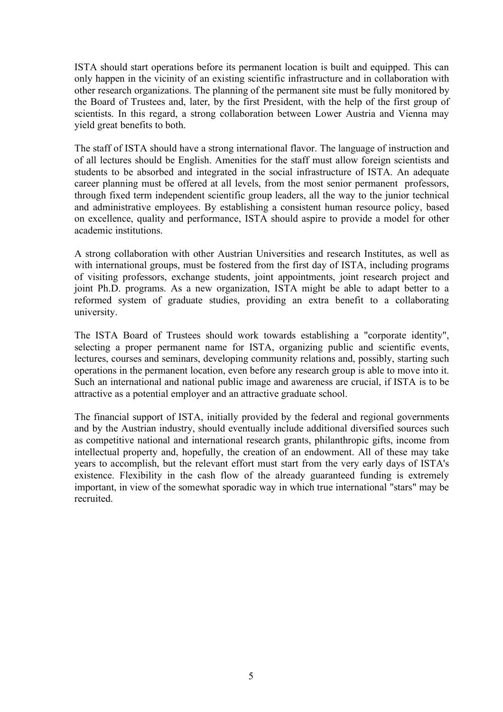ISTA should start operations before its permanent location is built and equipped. This can only happen in the vicinity of an existing scientific infrastructure and in collaboration with other research organizations. The planning of the permanent site must be fully monitored by the Board of Trustees and, later, by the first President, with the help of the first group of scientists. In this regard, a strong collaboration between Lower Austria and Vienna may yield great benefits to both.

The staff of ISTA should have a strong international flavor. The language of instruction and of all lectures should be English. Amenities for the staff must allow foreign scientists and students to be absorbed and integrated in the social infrastructure of ISTA. An adequate career planning must be offered at all levels, from the most senior permanent professors, through fixed term independent scientific group leaders, all the way to the junior technical and administrative employees. By establishing a consistent human resource policy, based on excellence, quality and performance, ISTA should aspire to provide a model for other academic institutions.

A strong collaboration with other Austrian Universities and research Institutes, as well as with international groups, must be fostered from the first day of ISTA, including programs of visiting professors, exchange students, joint appointments, joint research project and joint Ph.D. programs. As a new organization, ISTA might be able to adapt better to a reformed system of graduate studies, providing an extra benefit to a collaborating university.

The ISTA Board of Trustees should work towards establishing a "corporate identity", selecting a proper permanent name for ISTA, organizing public and scientific events, lectures, courses and seminars, developing community relations and, possibly, starting such operations in the permanent location, even before any research group is able to move into it. Such an international and national public image and awareness are crucial, if ISTA is to be attractive as a potential employer and an attractive graduate school.

The financial support of ISTA, initially provided by the federal and regional governments and by the Austrian industry, should eventually include additional diversified sources such as competitive national and international research grants, philanthropic gifts, income from intellectual property and, hopefully, the creation of an endowment. All of these may take years to accomplish, but the relevant effort must start from the very early days of ISTA's existence. Flexibility in the cash flow of the already guaranteed funding is extremely important, in view of the somewhat sporadic way in which true international "stars" may be recruited.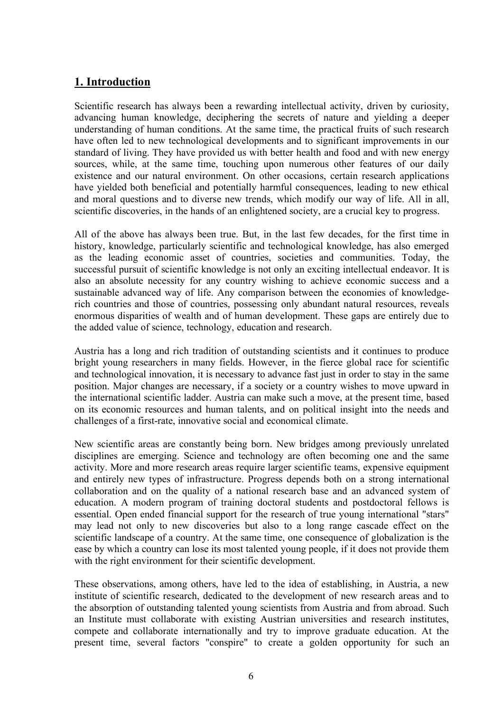#### **1. Introduction**

Scientific research has always been a rewarding intellectual activity, driven by curiosity, advancing human knowledge, deciphering the secrets of nature and yielding a deeper understanding of human conditions. At the same time, the practical fruits of such research have often led to new technological developments and to significant improvements in our standard of living. They have provided us with better health and food and with new energy sources, while, at the same time, touching upon numerous other features of our daily existence and our natural environment. On other occasions, certain research applications have yielded both beneficial and potentially harmful consequences, leading to new ethical and moral questions and to diverse new trends, which modify our way of life. All in all, scientific discoveries, in the hands of an enlightened society, are a crucial key to progress.

All of the above has always been true. But, in the last few decades, for the first time in history, knowledge, particularly scientific and technological knowledge, has also emerged as the leading economic asset of countries, societies and communities. Today, the successful pursuit of scientific knowledge is not only an exciting intellectual endeavor. It is also an absolute necessity for any country wishing to achieve economic success and a sustainable advanced way of life. Any comparison between the economies of knowledgerich countries and those of countries, possessing only abundant natural resources, reveals enormous disparities of wealth and of human development. These gaps are entirely due to the added value of science, technology, education and research.

Austria has a long and rich tradition of outstanding scientists and it continues to produce bright young researchers in many fields. However, in the fierce global race for scientific and technological innovation, it is necessary to advance fast just in order to stay in the same position. Major changes are necessary, if a society or a country wishes to move upward in the international scientific ladder. Austria can make such a move, at the present time, based on its economic resources and human talents, and on political insight into the needs and challenges of a first-rate, innovative social and economical climate.

New scientific areas are constantly being born. New bridges among previously unrelated disciplines are emerging. Science and technology are often becoming one and the same activity. More and more research areas require larger scientific teams, expensive equipment and entirely new types of infrastructure. Progress depends both on a strong international collaboration and on the quality of a national research base and an advanced system of education. A modern program of training doctoral students and postdoctoral fellows is essential. Open ended financial support for the research of true young international "stars" may lead not only to new discoveries but also to a long range cascade effect on the scientific landscape of a country. At the same time, one consequence of globalization is the ease by which a country can lose its most talented young people, if it does not provide them with the right environment for their scientific development.

These observations, among others, have led to the idea of establishing, in Austria, a new institute of scientific research, dedicated to the development of new research areas and to the absorption of outstanding talented young scientists from Austria and from abroad. Such an Institute must collaborate with existing Austrian universities and research institutes, compete and collaborate internationally and try to improve graduate education. At the present time, several factors "conspire" to create a golden opportunity for such an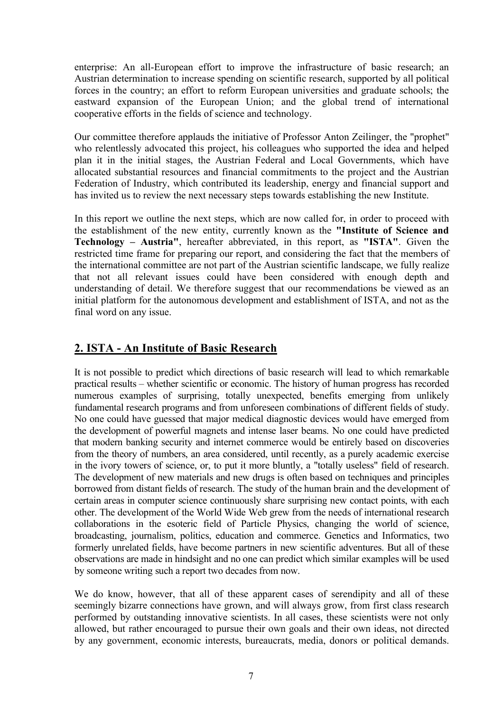enterprise: An all-European effort to improve the infrastructure of basic research; an Austrian determination to increase spending on scientific research, supported by all political forces in the country; an effort to reform European universities and graduate schools; the eastward expansion of the European Union; and the global trend of international cooperative efforts in the fields of science and technology.

Our committee therefore applauds the initiative of Professor Anton Zeilinger, the "prophet" who relentlessly advocated this project, his colleagues who supported the idea and helped plan it in the initial stages, the Austrian Federal and Local Governments, which have allocated substantial resources and financial commitments to the project and the Austrian Federation of Industry, which contributed its leadership, energy and financial support and has invited us to review the next necessary steps towards establishing the new Institute.

In this report we outline the next steps, which are now called for, in order to proceed with the establishment of the new entity, currently known as the **"Institute of Science and Technology – Austria"**, hereafter abbreviated, in this report, as **"ISTA"**. Given the restricted time frame for preparing our report, and considering the fact that the members of the international committee are not part of the Austrian scientific landscape, we fully realize that not all relevant issues could have been considered with enough depth and understanding of detail. We therefore suggest that our recommendations be viewed as an initial platform for the autonomous development and establishment of ISTA, and not as the final word on any issue.

#### **2. ISTA - An Institute of Basic Research**

It is not possible to predict which directions of basic research will lead to which remarkable practical results – whether scientific or economic. The history of human progress has recorded numerous examples of surprising, totally unexpected, benefits emerging from unlikely fundamental research programs and from unforeseen combinations of different fields of study. No one could have guessed that major medical diagnostic devices would have emerged from the development of powerful magnets and intense laser beams. No one could have predicted that modern banking security and internet commerce would be entirely based on discoveries from the theory of numbers, an area considered, until recently, as a purely academic exercise in the ivory towers of science, or, to put it more bluntly, a "totally useless" field of research. The development of new materials and new drugs is often based on techniques and principles borrowed from distant fields of research. The study of the human brain and the development of certain areas in computer science continuously share surprising new contact points, with each other. The development of the World Wide Web grew from the needs of international research collaborations in the esoteric field of Particle Physics, changing the world of science, broadcasting, journalism, politics, education and commerce. Genetics and Informatics, two formerly unrelated fields, have become partners in new scientific adventures. But all of these observations are made in hindsight and no one can predict which similar examples will be used by someone writing such a report two decades from now.

We do know, however, that all of these apparent cases of serendipity and all of these seemingly bizarre connections have grown, and will always grow, from first class research performed by outstanding innovative scientists. In all cases, these scientists were not only allowed, but rather encouraged to pursue their own goals and their own ideas, not directed by any government, economic interests, bureaucrats, media, donors or political demands.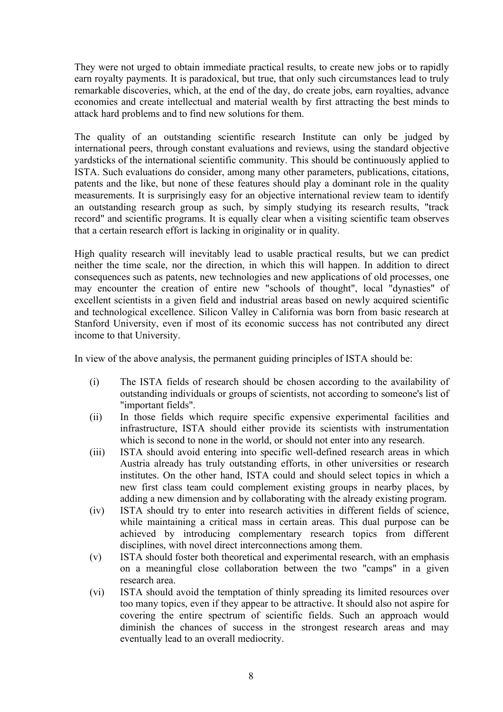They were not urged to obtain immediate practical results, to create new jobs or to rapidly earn royalty payments. It is paradoxical, but true, that only such circumstances lead to truly remarkable discoveries, which, at the end of the day, do create jobs, earn royalties, advance economies and create intellectual and material wealth by first attracting the best minds to attack hard problems and to find new solutions for them.

The quality of an outstanding scientific research Institute can only be judged by international peers, through constant evaluations and reviews, using the standard objective yardsticks of the international scientific community. This should be continuously applied to ISTA. Such evaluations do consider, among many other parameters, publications, citations, patents and the like, but none of these features should play a dominant role in the quality measurements. It is surprisingly easy for an objective international review team to identify an outstanding research group as such, by simply studying its research results, "track record" and scientific programs. It is equally clear when a visiting scientific team observes that a certain research effort is lacking in originality or in quality.

High quality research will inevitably lead to usable practical results, but we can predict neither the time scale, nor the direction, in which this will happen. In addition to direct consequences such as patents, new technologies and new applications of old processes, one may encounter the creation of entire new "schools of thought", local "dynasties" of excellent scientists in a given field and industrial areas based on newly acquired scientific and technological excellence. Silicon Valley in California was born from basic research at Stanford University, even if most of its economic success has not contributed any direct income to that University.

In view of the above analysis, the permanent guiding principles of ISTA should be:

- (i) The ISTA fields of research should be chosen according to the availability of outstanding individuals or groups of scientists, not according to someone's list of "important fields".
- (ii) In those fields which require specific expensive experimental facilities and infrastructure, ISTA should either provide its scientists with instrumentation which is second to none in the world, or should not enter into any research.
- (iii) ISTA should avoid entering into specific well-defined research areas in which Austria already has truly outstanding efforts, in other universities or research institutes. On the other hand, ISTA could and should select topics in which a new first class team could complement existing groups in nearby places, by adding a new dimension and by collaborating with the already existing program.
- (iv) ISTA should try to enter into research activities in different fields of science, while maintaining a critical mass in certain areas. This dual purpose can be achieved by introducing complementary research topics from different disciplines, with novel direct interconnections among them.
- (v) ISTA should foster both theoretical and experimental research, with an emphasis on a meaningful close collaboration between the two "camps" in a given research area.
- (vi) ISTA should avoid the temptation of thinly spreading its limited resources over too many topics, even if they appear to be attractive. It should also not aspire for covering the entire spectrum of scientific fields. Such an approach would diminish the chances of success in the strongest research areas and may eventually lead to an overall mediocrity.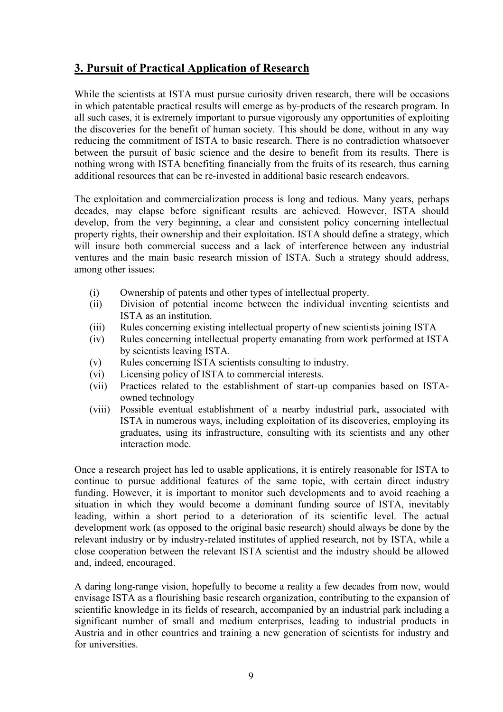#### **3. Pursuit of Practical Application of Research**

While the scientists at ISTA must pursue curiosity driven research, there will be occasions in which patentable practical results will emerge as by-products of the research program. In all such cases, it is extremely important to pursue vigorously any opportunities of exploiting the discoveries for the benefit of human society. This should be done, without in any way reducing the commitment of ISTA to basic research. There is no contradiction whatsoever between the pursuit of basic science and the desire to benefit from its results. There is nothing wrong with ISTA benefiting financially from the fruits of its research, thus earning additional resources that can be re-invested in additional basic research endeavors.

The exploitation and commercialization process is long and tedious. Many years, perhaps decades, may elapse before significant results are achieved. However, ISTA should develop, from the very beginning, a clear and consistent policy concerning intellectual property rights, their ownership and their exploitation. ISTA should define a strategy, which will insure both commercial success and a lack of interference between any industrial ventures and the main basic research mission of ISTA. Such a strategy should address, among other issues:

- (i) Ownership of patents and other types of intellectual property.
- (ii) Division of potential income between the individual inventing scientists and ISTA as an institution.
- (iii) Rules concerning existing intellectual property of new scientists joining ISTA
- (iv) Rules concerning intellectual property emanating from work performed at ISTA by scientists leaving ISTA.
- (v) Rules concerning ISTA scientists consulting to industry.
- (vi) Licensing policy of ISTA to commercial interests.
- (vii) Practices related to the establishment of start-up companies based on ISTAowned technology
- (viii) Possible eventual establishment of a nearby industrial park, associated with ISTA in numerous ways, including exploitation of its discoveries, employing its graduates, using its infrastructure, consulting with its scientists and any other interaction mode.

Once a research project has led to usable applications, it is entirely reasonable for ISTA to continue to pursue additional features of the same topic, with certain direct industry funding. However, it is important to monitor such developments and to avoid reaching a situation in which they would become a dominant funding source of ISTA, inevitably leading, within a short period to a deterioration of its scientific level. The actual development work (as opposed to the original basic research) should always be done by the relevant industry or by industry-related institutes of applied research, not by ISTA, while a close cooperation between the relevant ISTA scientist and the industry should be allowed and, indeed, encouraged.

A daring long-range vision, hopefully to become a reality a few decades from now, would envisage ISTA as a flourishing basic research organization, contributing to the expansion of scientific knowledge in its fields of research, accompanied by an industrial park including a significant number of small and medium enterprises, leading to industrial products in Austria and in other countries and training a new generation of scientists for industry and for universities.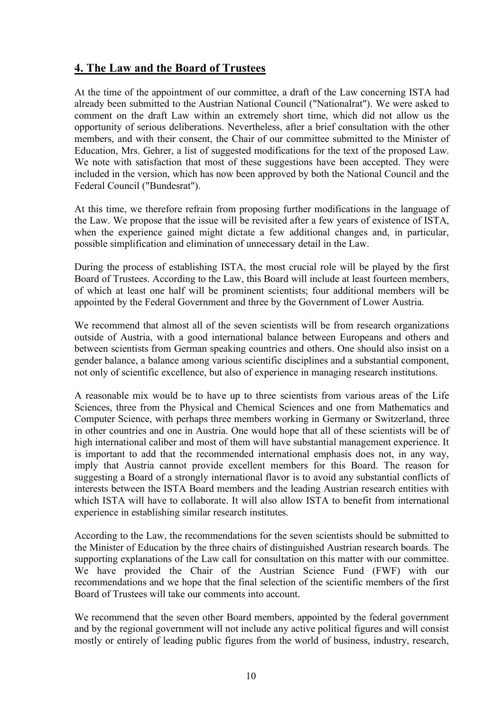#### **4. The Law and the Board of Trustees**

At the time of the appointment of our committee, a draft of the Law concerning ISTA had already been submitted to the Austrian National Council ("Nationalrat"). We were asked to comment on the draft Law within an extremely short time, which did not allow us the opportunity of serious deliberations. Nevertheless, after a brief consultation with the other members, and with their consent, the Chair of our committee submitted to the Minister of Education, Mrs. Gehrer, a list of suggested modifications for the text of the proposed Law. We note with satisfaction that most of these suggestions have been accepted. They were included in the version, which has now been approved by both the National Council and the Federal Council ("Bundesrat").

At this time, we therefore refrain from proposing further modifications in the language of the Law. We propose that the issue will be revisited after a few years of existence of ISTA, when the experience gained might dictate a few additional changes and, in particular, possible simplification and elimination of unnecessary detail in the Law.

During the process of establishing ISTA, the most crucial role will be played by the first Board of Trustees. According to the Law, this Board will include at least fourteen members, of which at least one half will be prominent scientists; four additional members will be appointed by the Federal Government and three by the Government of Lower Austria.

We recommend that almost all of the seven scientists will be from research organizations outside of Austria, with a good international balance between Europeans and others and between scientists from German speaking countries and others. One should also insist on a gender balance, a balance among various scientific disciplines and a substantial component, not only of scientific excellence, but also of experience in managing research institutions.

A reasonable mix would be to have up to three scientists from various areas of the Life Sciences, three from the Physical and Chemical Sciences and one from Mathematics and Computer Science, with perhaps three members working in Germany or Switzerland, three in other countries and one in Austria. One would hope that all of these scientists will be of high international caliber and most of them will have substantial management experience. It is important to add that the recommended international emphasis does not, in any way, imply that Austria cannot provide excellent members for this Board. The reason for suggesting a Board of a strongly international flavor is to avoid any substantial conflicts of interests between the ISTA Board members and the leading Austrian research entities with which ISTA will have to collaborate. It will also allow ISTA to benefit from international experience in establishing similar research institutes.

According to the Law, the recommendations for the seven scientists should be submitted to the Minister of Education by the three chairs of distinguished Austrian research boards. The supporting explanations of the Law call for consultation on this matter with our committee. We have provided the Chair of the Austrian Science Fund (FWF) with our recommendations and we hope that the final selection of the scientific members of the first Board of Trustees will take our comments into account.

We recommend that the seven other Board members, appointed by the federal government and by the regional government will not include any active political figures and will consist mostly or entirely of leading public figures from the world of business, industry, research,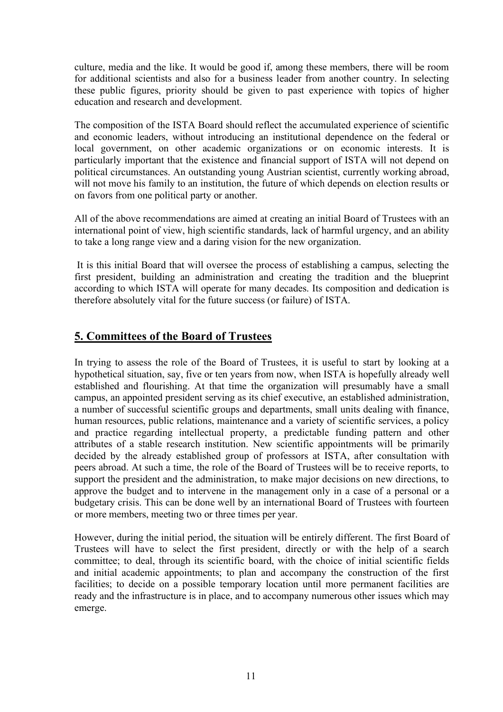culture, media and the like. It would be good if, among these members, there will be room for additional scientists and also for a business leader from another country. In selecting these public figures, priority should be given to past experience with topics of higher education and research and development.

The composition of the ISTA Board should reflect the accumulated experience of scientific and economic leaders, without introducing an institutional dependence on the federal or local government, on other academic organizations or on economic interests. It is particularly important that the existence and financial support of ISTA will not depend on political circumstances. An outstanding young Austrian scientist, currently working abroad, will not move his family to an institution, the future of which depends on election results or on favors from one political party or another.

All of the above recommendations are aimed at creating an initial Board of Trustees with an international point of view, high scientific standards, lack of harmful urgency, and an ability to take a long range view and a daring vision for the new organization.

It is this initial Board that will oversee the process of establishing a campus, selecting the first president, building an administration and creating the tradition and the blueprint according to which ISTA will operate for many decades. Its composition and dedication is therefore absolutely vital for the future success (or failure) of ISTA.

#### **5. Committees of the Board of Trustees**

In trying to assess the role of the Board of Trustees, it is useful to start by looking at a hypothetical situation, say, five or ten years from now, when ISTA is hopefully already well established and flourishing. At that time the organization will presumably have a small campus, an appointed president serving as its chief executive, an established administration, a number of successful scientific groups and departments, small units dealing with finance, human resources, public relations, maintenance and a variety of scientific services, a policy and practice regarding intellectual property, a predictable funding pattern and other attributes of a stable research institution. New scientific appointments will be primarily decided by the already established group of professors at ISTA, after consultation with peers abroad. At such a time, the role of the Board of Trustees will be to receive reports, to support the president and the administration, to make major decisions on new directions, to approve the budget and to intervene in the management only in a case of a personal or a budgetary crisis. This can be done well by an international Board of Trustees with fourteen or more members, meeting two or three times per year.

However, during the initial period, the situation will be entirely different. The first Board of Trustees will have to select the first president, directly or with the help of a search committee; to deal, through its scientific board, with the choice of initial scientific fields and initial academic appointments; to plan and accompany the construction of the first facilities; to decide on a possible temporary location until more permanent facilities are ready and the infrastructure is in place, and to accompany numerous other issues which may emerge.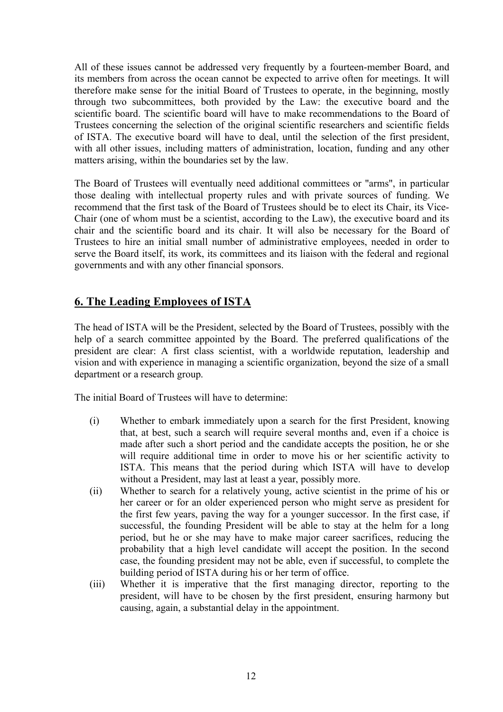All of these issues cannot be addressed very frequently by a fourteen-member Board, and its members from across the ocean cannot be expected to arrive often for meetings. It will therefore make sense for the initial Board of Trustees to operate, in the beginning, mostly through two subcommittees, both provided by the Law: the executive board and the scientific board. The scientific board will have to make recommendations to the Board of Trustees concerning the selection of the original scientific researchers and scientific fields of ISTA. The executive board will have to deal, until the selection of the first president, with all other issues, including matters of administration, location, funding and any other matters arising, within the boundaries set by the law.

The Board of Trustees will eventually need additional committees or "arms", in particular those dealing with intellectual property rules and with private sources of funding. We recommend that the first task of the Board of Trustees should be to elect its Chair, its Vice-Chair (one of whom must be a scientist, according to the Law), the executive board and its chair and the scientific board and its chair. It will also be necessary for the Board of Trustees to hire an initial small number of administrative employees, needed in order to serve the Board itself, its work, its committees and its liaison with the federal and regional governments and with any other financial sponsors.

#### **6. The Leading Employees of ISTA**

The head of ISTA will be the President, selected by the Board of Trustees, possibly with the help of a search committee appointed by the Board. The preferred qualifications of the president are clear: A first class scientist, with a worldwide reputation, leadership and vision and with experience in managing a scientific organization, beyond the size of a small department or a research group.

The initial Board of Trustees will have to determine:

- (i) Whether to embark immediately upon a search for the first President, knowing that, at best, such a search will require several months and, even if a choice is made after such a short period and the candidate accepts the position, he or she will require additional time in order to move his or her scientific activity to ISTA. This means that the period during which ISTA will have to develop without a President, may last at least a year, possibly more.
- (ii) Whether to search for a relatively young, active scientist in the prime of his or her career or for an older experienced person who might serve as president for the first few years, paving the way for a younger successor. In the first case, if successful, the founding President will be able to stay at the helm for a long period, but he or she may have to make major career sacrifices, reducing the probability that a high level candidate will accept the position. In the second case, the founding president may not be able, even if successful, to complete the building period of ISTA during his or her term of office.
- (iii) Whether it is imperative that the first managing director, reporting to the president, will have to be chosen by the first president, ensuring harmony but causing, again, a substantial delay in the appointment.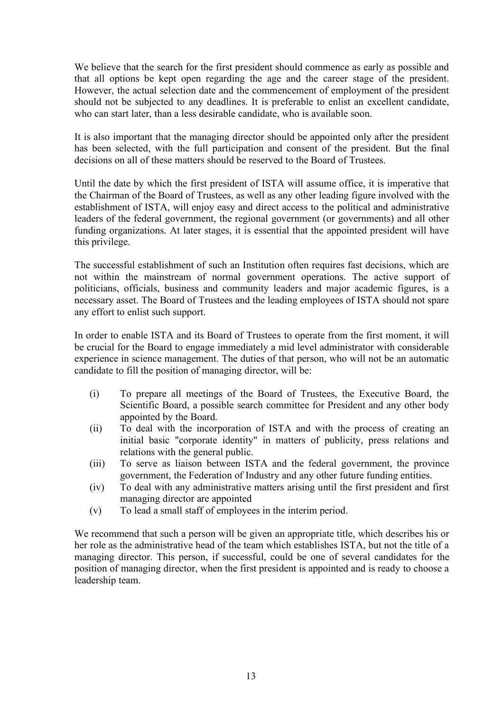We believe that the search for the first president should commence as early as possible and that all options be kept open regarding the age and the career stage of the president. However, the actual selection date and the commencement of employment of the president should not be subjected to any deadlines. It is preferable to enlist an excellent candidate, who can start later, than a less desirable candidate, who is available soon.

It is also important that the managing director should be appointed only after the president has been selected, with the full participation and consent of the president. But the final decisions on all of these matters should be reserved to the Board of Trustees.

Until the date by which the first president of ISTA will assume office, it is imperative that the Chairman of the Board of Trustees, as well as any other leading figure involved with the establishment of ISTA, will enjoy easy and direct access to the political and administrative leaders of the federal government, the regional government (or governments) and all other funding organizations. At later stages, it is essential that the appointed president will have this privilege.

The successful establishment of such an Institution often requires fast decisions, which are not within the mainstream of normal government operations. The active support of politicians, officials, business and community leaders and major academic figures, is a necessary asset. The Board of Trustees and the leading employees of ISTA should not spare any effort to enlist such support.

In order to enable ISTA and its Board of Trustees to operate from the first moment, it will be crucial for the Board to engage immediately a mid level administrator with considerable experience in science management. The duties of that person, who will not be an automatic candidate to fill the position of managing director, will be:

- (i) To prepare all meetings of the Board of Trustees, the Executive Board, the Scientific Board, a possible search committee for President and any other body appointed by the Board.
- (ii) To deal with the incorporation of ISTA and with the process of creating an initial basic "corporate identity" in matters of publicity, press relations and relations with the general public.
- (iii) To serve as liaison between ISTA and the federal government, the province government, the Federation of Industry and any other future funding entities.
- (iv) To deal with any administrative matters arising until the first president and first managing director are appointed
- (v) To lead a small staff of employees in the interim period.

We recommend that such a person will be given an appropriate title, which describes his or her role as the administrative head of the team which establishes ISTA, but not the title of a managing director. This person, if successful, could be one of several candidates for the position of managing director, when the first president is appointed and is ready to choose a leadership team.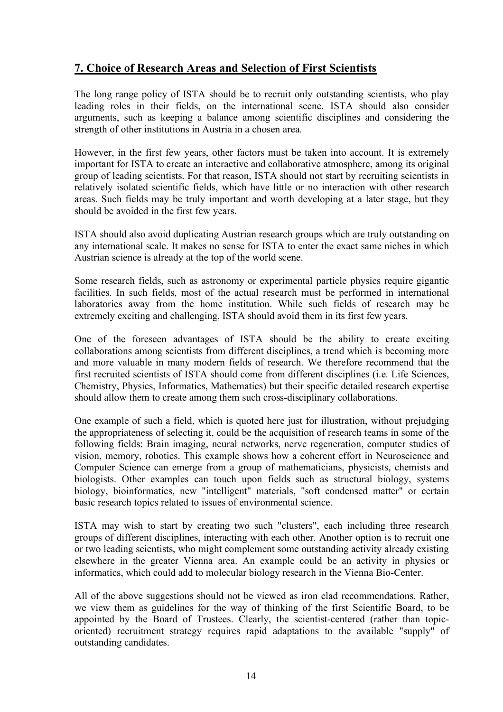#### **7. Choice of Research Areas and Selection of First Scientists**

The long range policy of ISTA should be to recruit only outstanding scientists, who play leading roles in their fields, on the international scene. ISTA should also consider arguments, such as keeping a balance among scientific disciplines and considering the strength of other institutions in Austria in a chosen area.

However, in the first few years, other factors must be taken into account. It is extremely important for ISTA to create an interactive and collaborative atmosphere, among its original group of leading scientists. For that reason, ISTA should not start by recruiting scientists in relatively isolated scientific fields, which have little or no interaction with other research areas. Such fields may be truly important and worth developing at a later stage, but they should be avoided in the first few years.

ISTA should also avoid duplicating Austrian research groups which are truly outstanding on any international scale. It makes no sense for ISTA to enter the exact same niches in which Austrian science is already at the top of the world scene.

Some research fields, such as astronomy or experimental particle physics require gigantic facilities. In such fields, most of the actual research must be performed in international laboratories away from the home institution. While such fields of research may be extremely exciting and challenging, ISTA should avoid them in its first few years.

One of the foreseen advantages of ISTA should be the ability to create exciting collaborations among scientists from different disciplines, a trend which is becoming more and more valuable in many modern fields of research. We therefore recommend that the first recruited scientists of ISTA should come from different disciplines (i.e. Life Sciences, Chemistry, Physics, Informatics, Mathematics) but their specific detailed research expertise should allow them to create among them such cross-disciplinary collaborations.

One example of such a field, which is quoted here just for illustration, without prejudging the appropriateness of selecting it, could be the acquisition of research teams in some of the following fields: Brain imaging, neural networks, nerve regeneration, computer studies of vision, memory, robotics. This example shows how a coherent effort in Neuroscience and Computer Science can emerge from a group of mathematicians, physicists, chemists and biologists. Other examples can touch upon fields such as structural biology, systems biology, bioinformatics, new "intelligent" materials, "soft condensed matter" or certain basic research topics related to issues of environmental science.

ISTA may wish to start by creating two such "clusters", each including three research groups of different disciplines, interacting with each other. Another option is to recruit one or two leading scientists, who might complement some outstanding activity already existing elsewhere in the greater Vienna area. An example could be an activity in physics or informatics, which could add to molecular biology research in the Vienna Bio-Center.

All of the above suggestions should not be viewed as iron clad recommendations. Rather, we view them as guidelines for the way of thinking of the first Scientific Board, to be appointed by the Board of Trustees. Clearly, the scientist-centered (rather than topicoriented) recruitment strategy requires rapid adaptations to the available "supply" of outstanding candidates.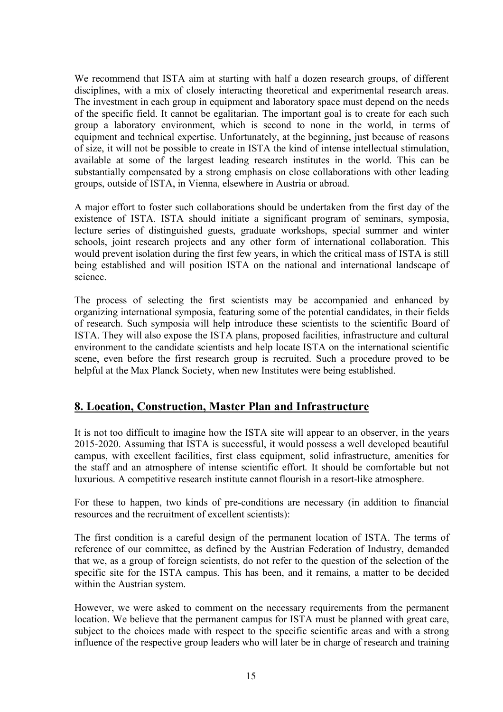We recommend that ISTA aim at starting with half a dozen research groups, of different disciplines, with a mix of closely interacting theoretical and experimental research areas. The investment in each group in equipment and laboratory space must depend on the needs of the specific field. It cannot be egalitarian. The important goal is to create for each such group a laboratory environment, which is second to none in the world, in terms of equipment and technical expertise. Unfortunately, at the beginning, just because of reasons of size, it will not be possible to create in ISTA the kind of intense intellectual stimulation, available at some of the largest leading research institutes in the world. This can be substantially compensated by a strong emphasis on close collaborations with other leading groups, outside of ISTA, in Vienna, elsewhere in Austria or abroad.

A major effort to foster such collaborations should be undertaken from the first day of the existence of ISTA. ISTA should initiate a significant program of seminars, symposia, lecture series of distinguished guests, graduate workshops, special summer and winter schools, joint research projects and any other form of international collaboration. This would prevent isolation during the first few years, in which the critical mass of ISTA is still being established and will position ISTA on the national and international landscape of science.

The process of selecting the first scientists may be accompanied and enhanced by organizing international symposia, featuring some of the potential candidates, in their fields of research. Such symposia will help introduce these scientists to the scientific Board of ISTA. They will also expose the ISTA plans, proposed facilities, infrastructure and cultural environment to the candidate scientists and help locate ISTA on the international scientific scene, even before the first research group is recruited. Such a procedure proved to be helpful at the Max Planck Society, when new Institutes were being established.

#### **8. Location, Construction, Master Plan and Infrastructure**

It is not too difficult to imagine how the ISTA site will appear to an observer, in the years 2015-2020. Assuming that ISTA is successful, it would possess a well developed beautiful campus, with excellent facilities, first class equipment, solid infrastructure, amenities for the staff and an atmosphere of intense scientific effort. It should be comfortable but not luxurious. A competitive research institute cannot flourish in a resort-like atmosphere.

For these to happen, two kinds of pre-conditions are necessary (in addition to financial resources and the recruitment of excellent scientists):

The first condition is a careful design of the permanent location of ISTA. The terms of reference of our committee, as defined by the Austrian Federation of Industry, demanded that we, as a group of foreign scientists, do not refer to the question of the selection of the specific site for the ISTA campus. This has been, and it remains, a matter to be decided within the Austrian system.

However, we were asked to comment on the necessary requirements from the permanent location. We believe that the permanent campus for ISTA must be planned with great care, subject to the choices made with respect to the specific scientific areas and with a strong influence of the respective group leaders who will later be in charge of research and training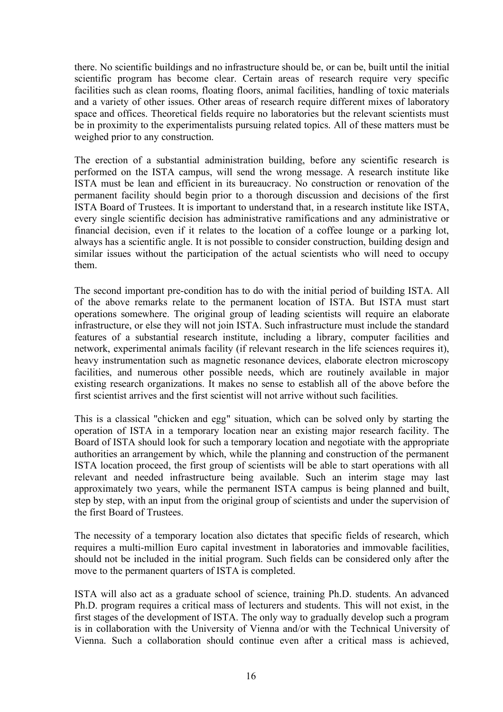there. No scientific buildings and no infrastructure should be, or can be, built until the initial scientific program has become clear. Certain areas of research require very specific facilities such as clean rooms, floating floors, animal facilities, handling of toxic materials and a variety of other issues. Other areas of research require different mixes of laboratory space and offices. Theoretical fields require no laboratories but the relevant scientists must be in proximity to the experimentalists pursuing related topics. All of these matters must be weighed prior to any construction.

The erection of a substantial administration building, before any scientific research is performed on the ISTA campus, will send the wrong message. A research institute like ISTA must be lean and efficient in its bureaucracy. No construction or renovation of the permanent facility should begin prior to a thorough discussion and decisions of the first ISTA Board of Trustees. It is important to understand that, in a research institute like ISTA, every single scientific decision has administrative ramifications and any administrative or financial decision, even if it relates to the location of a coffee lounge or a parking lot, always has a scientific angle. It is not possible to consider construction, building design and similar issues without the participation of the actual scientists who will need to occupy them.

The second important pre-condition has to do with the initial period of building ISTA. All of the above remarks relate to the permanent location of ISTA. But ISTA must start operations somewhere. The original group of leading scientists will require an elaborate infrastructure, or else they will not join ISTA. Such infrastructure must include the standard features of a substantial research institute, including a library, computer facilities and network, experimental animals facility (if relevant research in the life sciences requires it), heavy instrumentation such as magnetic resonance devices, elaborate electron microscopy facilities, and numerous other possible needs, which are routinely available in major existing research organizations. It makes no sense to establish all of the above before the first scientist arrives and the first scientist will not arrive without such facilities.

This is a classical "chicken and egg" situation, which can be solved only by starting the operation of ISTA in a temporary location near an existing major research facility. The Board of ISTA should look for such a temporary location and negotiate with the appropriate authorities an arrangement by which, while the planning and construction of the permanent ISTA location proceed, the first group of scientists will be able to start operations with all relevant and needed infrastructure being available. Such an interim stage may last approximately two years, while the permanent ISTA campus is being planned and built, step by step, with an input from the original group of scientists and under the supervision of the first Board of Trustees.

The necessity of a temporary location also dictates that specific fields of research, which requires a multi-million Euro capital investment in laboratories and immovable facilities, should not be included in the initial program. Such fields can be considered only after the move to the permanent quarters of ISTA is completed.

ISTA will also act as a graduate school of science, training Ph.D. students. An advanced Ph.D. program requires a critical mass of lecturers and students. This will not exist, in the first stages of the development of ISTA. The only way to gradually develop such a program is in collaboration with the University of Vienna and/or with the Technical University of Vienna. Such a collaboration should continue even after a critical mass is achieved,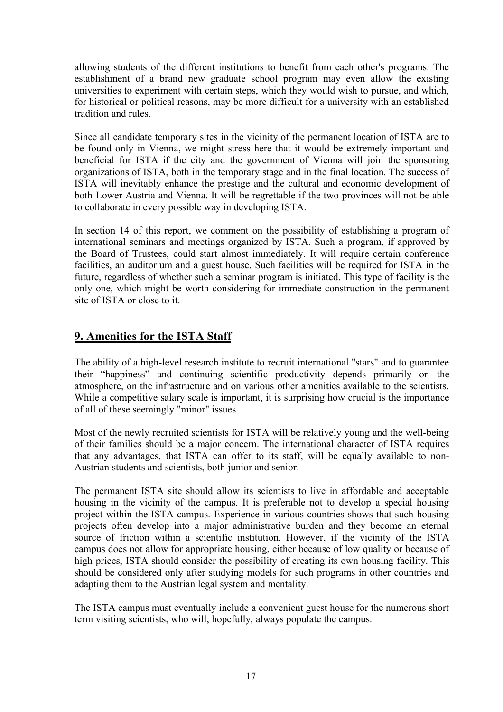allowing students of the different institutions to benefit from each other's programs. The establishment of a brand new graduate school program may even allow the existing universities to experiment with certain steps, which they would wish to pursue, and which, for historical or political reasons, may be more difficult for a university with an established tradition and rules.

Since all candidate temporary sites in the vicinity of the permanent location of ISTA are to be found only in Vienna, we might stress here that it would be extremely important and beneficial for ISTA if the city and the government of Vienna will join the sponsoring organizations of ISTA, both in the temporary stage and in the final location. The success of ISTA will inevitably enhance the prestige and the cultural and economic development of both Lower Austria and Vienna. It will be regrettable if the two provinces will not be able to collaborate in every possible way in developing ISTA.

In section 14 of this report, we comment on the possibility of establishing a program of international seminars and meetings organized by ISTA. Such a program, if approved by the Board of Trustees, could start almost immediately. It will require certain conference facilities, an auditorium and a guest house. Such facilities will be required for ISTA in the future, regardless of whether such a seminar program is initiated. This type of facility is the only one, which might be worth considering for immediate construction in the permanent site of ISTA or close to it.

#### **9. Amenities for the ISTA Staff**

The ability of a high-level research institute to recruit international "stars" and to guarantee their "happiness" and continuing scientific productivity depends primarily on the atmosphere, on the infrastructure and on various other amenities available to the scientists. While a competitive salary scale is important, it is surprising how crucial is the importance of all of these seemingly "minor" issues.

Most of the newly recruited scientists for ISTA will be relatively young and the well-being of their families should be a major concern. The international character of ISTA requires that any advantages, that ISTA can offer to its staff, will be equally available to non-Austrian students and scientists, both junior and senior.

The permanent ISTA site should allow its scientists to live in affordable and acceptable housing in the vicinity of the campus. It is preferable not to develop a special housing project within the ISTA campus. Experience in various countries shows that such housing projects often develop into a major administrative burden and they become an eternal source of friction within a scientific institution. However, if the vicinity of the ISTA campus does not allow for appropriate housing, either because of low quality or because of high prices, ISTA should consider the possibility of creating its own housing facility. This should be considered only after studying models for such programs in other countries and adapting them to the Austrian legal system and mentality.

The ISTA campus must eventually include a convenient guest house for the numerous short term visiting scientists, who will, hopefully, always populate the campus.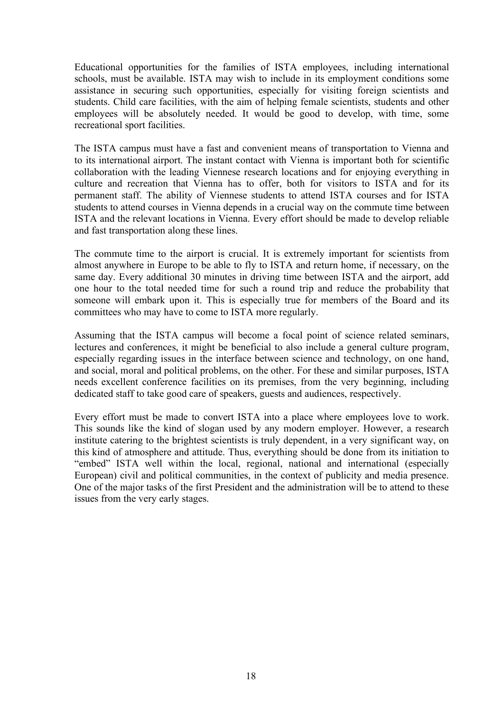Educational opportunities for the families of ISTA employees, including international schools, must be available. ISTA may wish to include in its employment conditions some assistance in securing such opportunities, especially for visiting foreign scientists and students. Child care facilities, with the aim of helping female scientists, students and other employees will be absolutely needed. It would be good to develop, with time, some recreational sport facilities.

The ISTA campus must have a fast and convenient means of transportation to Vienna and to its international airport. The instant contact with Vienna is important both for scientific collaboration with the leading Viennese research locations and for enjoying everything in culture and recreation that Vienna has to offer, both for visitors to ISTA and for its permanent staff. The ability of Viennese students to attend ISTA courses and for ISTA students to attend courses in Vienna depends in a crucial way on the commute time between ISTA and the relevant locations in Vienna. Every effort should be made to develop reliable and fast transportation along these lines.

The commute time to the airport is crucial. It is extremely important for scientists from almost anywhere in Europe to be able to fly to ISTA and return home, if necessary, on the same day. Every additional 30 minutes in driving time between ISTA and the airport, add one hour to the total needed time for such a round trip and reduce the probability that someone will embark upon it. This is especially true for members of the Board and its committees who may have to come to ISTA more regularly.

Assuming that the ISTA campus will become a focal point of science related seminars, lectures and conferences, it might be beneficial to also include a general culture program, especially regarding issues in the interface between science and technology, on one hand, and social, moral and political problems, on the other. For these and similar purposes, ISTA needs excellent conference facilities on its premises, from the very beginning, including dedicated staff to take good care of speakers, guests and audiences, respectively.

Every effort must be made to convert ISTA into a place where employees love to work. This sounds like the kind of slogan used by any modern employer. However, a research institute catering to the brightest scientists is truly dependent, in a very significant way, on this kind of atmosphere and attitude. Thus, everything should be done from its initiation to "embed" ISTA well within the local, regional, national and international (especially European) civil and political communities, in the context of publicity and media presence. One of the major tasks of the first President and the administration will be to attend to these issues from the very early stages.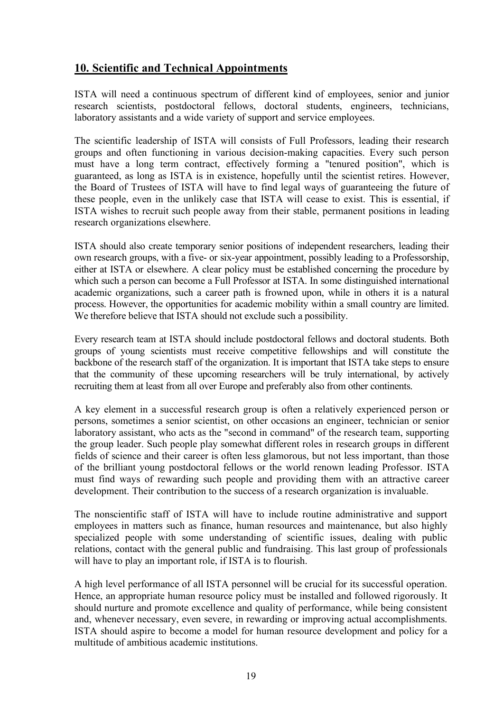#### **10. Scientific and Technical Appointments**

ISTA will need a continuous spectrum of different kind of employees, senior and junior research scientists, postdoctoral fellows, doctoral students, engineers, technicians, laboratory assistants and a wide variety of support and service employees.

The scientific leadership of ISTA will consists of Full Professors, leading their research groups and often functioning in various decision-making capacities. Every such person must have a long term contract, effectively forming a "tenured position", which is guaranteed, as long as ISTA is in existence, hopefully until the scientist retires. However, the Board of Trustees of ISTA will have to find legal ways of guaranteeing the future of these people, even in the unlikely case that ISTA will cease to exist. This is essential, if ISTA wishes to recruit such people away from their stable, permanent positions in leading research organizations elsewhere.

ISTA should also create temporary senior positions of independent researchers, leading their own research groups, with a five- or six-year appointment, possibly leading to a Professorship, either at ISTA or elsewhere. A clear policy must be established concerning the procedure by which such a person can become a Full Professor at ISTA. In some distinguished international academic organizations, such a career path is frowned upon, while in others it is a natural process. However, the opportunities for academic mobility within a small country are limited. We therefore believe that ISTA should not exclude such a possibility.

Every research team at ISTA should include postdoctoral fellows and doctoral students. Both groups of young scientists must receive competitive fellowships and will constitute the backbone of the research staff of the organization. It is important that ISTA take steps to ensure that the community of these upcoming researchers will be truly international, by actively recruiting them at least from all over Europe and preferably also from other continents.

A key element in a successful research group is often a relatively experienced person or persons, sometimes a senior scientist, on other occasions an engineer, technician or senior laboratory assistant, who acts as the "second in command" of the research team, supporting the group leader. Such people play somewhat different roles in research groups in different fields of science and their career is often less glamorous, but not less important, than those of the brilliant young postdoctoral fellows or the world renown leading Professor. ISTA must find ways of rewarding such people and providing them with an attractive career development. Their contribution to the success of a research organization is invaluable.

The nonscientific staff of ISTA will have to include routine administrative and support employees in matters such as finance, human resources and maintenance, but also highly specialized people with some understanding of scientific issues, dealing with public relations, contact with the general public and fundraising. This last group of professionals will have to play an important role, if ISTA is to flourish.

A high level performance of all ISTA personnel will be crucial for its successful operation. Hence, an appropriate human resource policy must be installed and followed rigorously. It should nurture and promote excellence and quality of performance, while being consistent and, whenever necessary, even severe, in rewarding or improving actual accomplishments. ISTA should aspire to become a model for human resource development and policy for a multitude of ambitious academic institutions.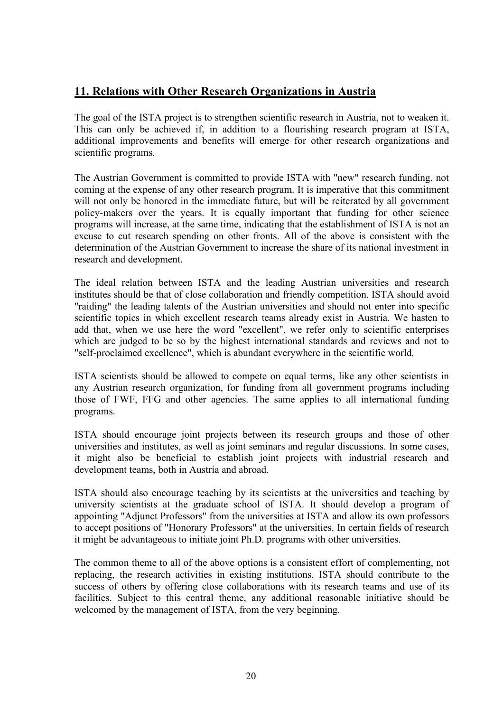#### **11. Relations with Other Research Organizations in Austria**

The goal of the ISTA project is to strengthen scientific research in Austria, not to weaken it. This can only be achieved if, in addition to a flourishing research program at ISTA, additional improvements and benefits will emerge for other research organizations and scientific programs.

The Austrian Government is committed to provide ISTA with "new" research funding, not coming at the expense of any other research program. It is imperative that this commitment will not only be honored in the immediate future, but will be reiterated by all government policy-makers over the years. It is equally important that funding for other science programs will increase, at the same time, indicating that the establishment of ISTA is not an excuse to cut research spending on other fronts. All of the above is consistent with the determination of the Austrian Government to increase the share of its national investment in research and development.

The ideal relation between ISTA and the leading Austrian universities and research institutes should be that of close collaboration and friendly competition. ISTA should avoid "raiding" the leading talents of the Austrian universities and should not enter into specific scientific topics in which excellent research teams already exist in Austria. We hasten to add that, when we use here the word "excellent", we refer only to scientific enterprises which are judged to be so by the highest international standards and reviews and not to "self-proclaimed excellence", which is abundant everywhere in the scientific world.

ISTA scientists should be allowed to compete on equal terms, like any other scientists in any Austrian research organization, for funding from all government programs including those of FWF, FFG and other agencies. The same applies to all international funding programs.

ISTA should encourage joint projects between its research groups and those of other universities and institutes, as well as joint seminars and regular discussions. In some cases, it might also be beneficial to establish joint projects with industrial research and development teams, both in Austria and abroad.

ISTA should also encourage teaching by its scientists at the universities and teaching by university scientists at the graduate school of ISTA. It should develop a program of appointing "Adjunct Professors" from the universities at ISTA and allow its own professors to accept positions of "Honorary Professors" at the universities. In certain fields of research it might be advantageous to initiate joint Ph.D. programs with other universities.

The common theme to all of the above options is a consistent effort of complementing, not replacing, the research activities in existing institutions. ISTA should contribute to the success of others by offering close collaborations with its research teams and use of its facilities. Subject to this central theme, any additional reasonable initiative should be welcomed by the management of ISTA, from the very beginning.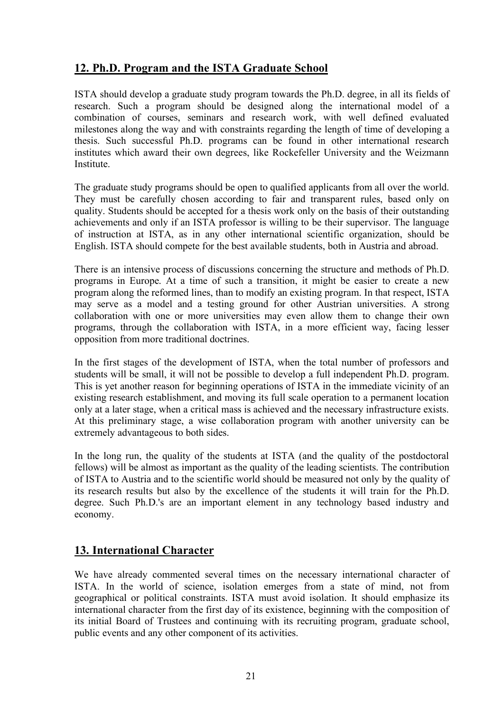#### **12. Ph.D. Program and the ISTA Graduate School**

ISTA should develop a graduate study program towards the Ph.D. degree, in all its fields of research. Such a program should be designed along the international model of a combination of courses, seminars and research work, with well defined evaluated milestones along the way and with constraints regarding the length of time of developing a thesis. Such successful Ph.D. programs can be found in other international research institutes which award their own degrees, like Rockefeller University and the Weizmann **Institute** 

The graduate study programs should be open to qualified applicants from all over the world. They must be carefully chosen according to fair and transparent rules, based only on quality. Students should be accepted for a thesis work only on the basis of their outstanding achievements and only if an ISTA professor is willing to be their supervisor. The language of instruction at ISTA, as in any other international scientific organization, should be English. ISTA should compete for the best available students, both in Austria and abroad.

There is an intensive process of discussions concerning the structure and methods of Ph.D. programs in Europe. At a time of such a transition, it might be easier to create a new program along the reformed lines, than to modify an existing program. In that respect, ISTA may serve as a model and a testing ground for other Austrian universities. A strong collaboration with one or more universities may even allow them to change their own programs, through the collaboration with ISTA, in a more efficient way, facing lesser opposition from more traditional doctrines.

In the first stages of the development of ISTA, when the total number of professors and students will be small, it will not be possible to develop a full independent Ph.D. program. This is yet another reason for beginning operations of ISTA in the immediate vicinity of an existing research establishment, and moving its full scale operation to a permanent location only at a later stage, when a critical mass is achieved and the necessary infrastructure exists. At this preliminary stage, a wise collaboration program with another university can be extremely advantageous to both sides.

In the long run, the quality of the students at ISTA (and the quality of the postdoctoral fellows) will be almost as important as the quality of the leading scientists. The contribution of ISTA to Austria and to the scientific world should be measured not only by the quality of its research results but also by the excellence of the students it will train for the Ph.D. degree. Such Ph.D.'s are an important element in any technology based industry and economy.

#### **13. International Character**

We have already commented several times on the necessary international character of ISTA. In the world of science, isolation emerges from a state of mind, not from geographical or political constraints. ISTA must avoid isolation. It should emphasize its international character from the first day of its existence, beginning with the composition of its initial Board of Trustees and continuing with its recruiting program, graduate school, public events and any other component of its activities.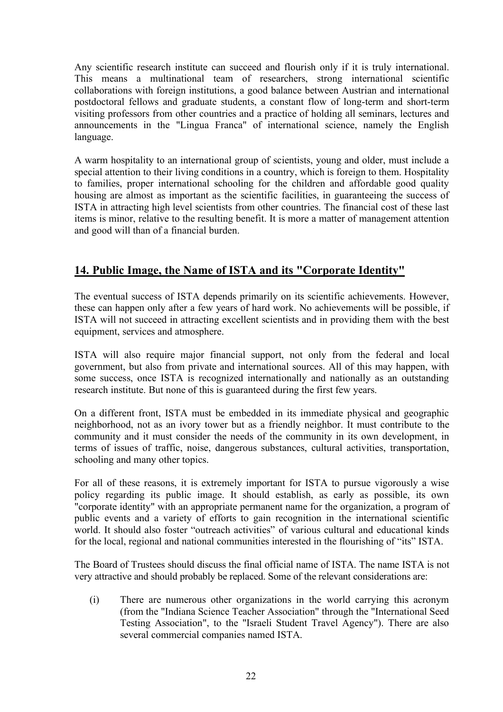Any scientific research institute can succeed and flourish only if it is truly international. This means a multinational team of researchers, strong international scientific collaborations with foreign institutions, a good balance between Austrian and international postdoctoral fellows and graduate students, a constant flow of long-term and short-term visiting professors from other countries and a practice of holding all seminars, lectures and announcements in the "Lingua Franca" of international science, namely the English language.

A warm hospitality to an international group of scientists, young and older, must include a special attention to their living conditions in a country, which is foreign to them. Hospitality to families, proper international schooling for the children and affordable good quality housing are almost as important as the scientific facilities, in guaranteeing the success of ISTA in attracting high level scientists from other countries. The financial cost of these last items is minor, relative to the resulting benefit. It is more a matter of management attention and good will than of a financial burden.

#### **14. Public Image, the Name of ISTA and its "Corporate Identity"**

The eventual success of ISTA depends primarily on its scientific achievements. However, these can happen only after a few years of hard work. No achievements will be possible, if ISTA will not succeed in attracting excellent scientists and in providing them with the best equipment, services and atmosphere.

ISTA will also require major financial support, not only from the federal and local government, but also from private and international sources. All of this may happen, with some success, once ISTA is recognized internationally and nationally as an outstanding research institute. But none of this is guaranteed during the first few years.

On a different front, ISTA must be embedded in its immediate physical and geographic neighborhood, not as an ivory tower but as a friendly neighbor. It must contribute to the community and it must consider the needs of the community in its own development, in terms of issues of traffic, noise, dangerous substances, cultural activities, transportation, schooling and many other topics.

For all of these reasons, it is extremely important for ISTA to pursue vigorously a wise policy regarding its public image. It should establish, as early as possible, its own "corporate identity" with an appropriate permanent name for the organization, a program of public events and a variety of efforts to gain recognition in the international scientific world. It should also foster "outreach activities" of various cultural and educational kinds for the local, regional and national communities interested in the flourishing of "its" ISTA.

The Board of Trustees should discuss the final official name of ISTA. The name ISTA is not very attractive and should probably be replaced. Some of the relevant considerations are:

(i) There are numerous other organizations in the world carrying this acronym (from the "Indiana Science Teacher Association" through the "International Seed Testing Association", to the "Israeli Student Travel Agency"). There are also several commercial companies named ISTA.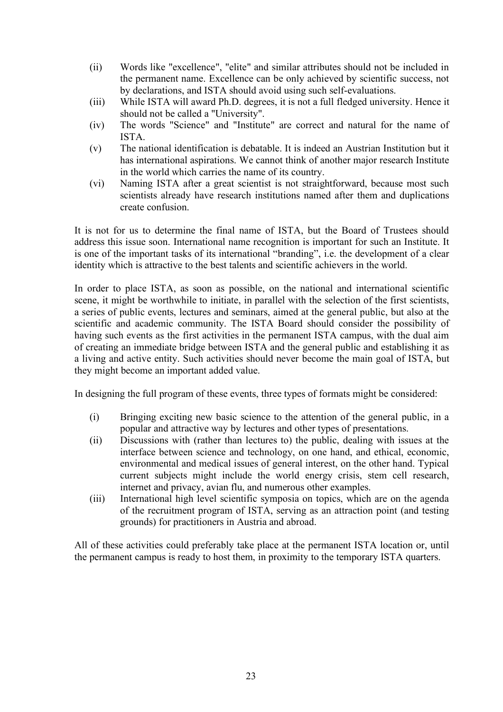- (ii) Words like "excellence", "elite" and similar attributes should not be included in the permanent name. Excellence can be only achieved by scientific success, not by declarations, and ISTA should avoid using such self-evaluations.
- (iii) While ISTA will award Ph.D. degrees, it is not a full fledged university. Hence it should not be called a "University".
- (iv) The words "Science" and "Institute" are correct and natural for the name of ISTA.
- (v) The national identification is debatable. It is indeed an Austrian Institution but it has international aspirations. We cannot think of another major research Institute in the world which carries the name of its country.
- (vi) Naming ISTA after a great scientist is not straightforward, because most such scientists already have research institutions named after them and duplications create confusion.

It is not for us to determine the final name of ISTA, but the Board of Trustees should address this issue soon. International name recognition is important for such an Institute. It is one of the important tasks of its international "branding", i.e. the development of a clear identity which is attractive to the best talents and scientific achievers in the world.

In order to place ISTA, as soon as possible, on the national and international scientific scene, it might be worthwhile to initiate, in parallel with the selection of the first scientists, a series of public events, lectures and seminars, aimed at the general public, but also at the scientific and academic community. The ISTA Board should consider the possibility of having such events as the first activities in the permanent ISTA campus, with the dual aim of creating an immediate bridge between ISTA and the general public and establishing it as a living and active entity. Such activities should never become the main goal of ISTA, but they might become an important added value.

In designing the full program of these events, three types of formats might be considered:

- (i) Bringing exciting new basic science to the attention of the general public, in a popular and attractive way by lectures and other types of presentations.
- (ii) Discussions with (rather than lectures to) the public, dealing with issues at the interface between science and technology, on one hand, and ethical, economic, environmental and medical issues of general interest, on the other hand. Typical current subjects might include the world energy crisis, stem cell research, internet and privacy, avian flu, and numerous other examples.
- (iii) International high level scientific symposia on topics, which are on the agenda of the recruitment program of ISTA, serving as an attraction point (and testing grounds) for practitioners in Austria and abroad.

All of these activities could preferably take place at the permanent ISTA location or, until the permanent campus is ready to host them, in proximity to the temporary ISTA quarters.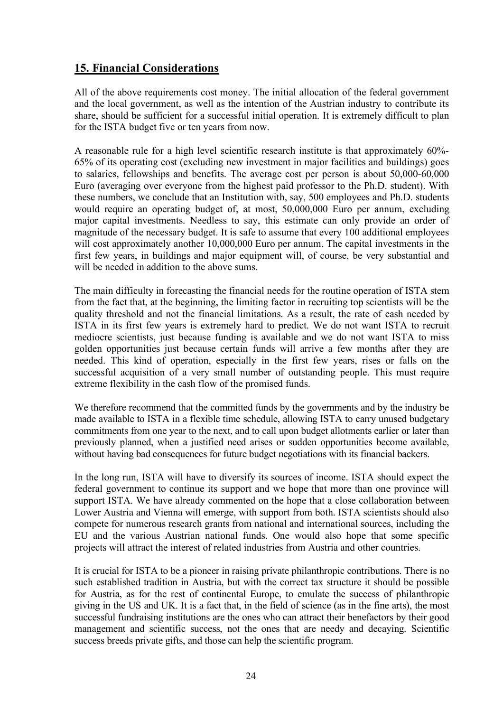#### **15. Financial Considerations**

All of the above requirements cost money. The initial allocation of the federal government and the local government, as well as the intention of the Austrian industry to contribute its share, should be sufficient for a successful initial operation. It is extremely difficult to plan for the ISTA budget five or ten years from now.

A reasonable rule for a high level scientific research institute is that approximately 60%- 65% of its operating cost (excluding new investment in major facilities and buildings) goes to salaries, fellowships and benefits. The average cost per person is about 50,000-60,000 Euro (averaging over everyone from the highest paid professor to the Ph.D. student). With these numbers, we conclude that an Institution with, say, 500 employees and Ph.D. students would require an operating budget of, at most, 50,000,000 Euro per annum, excluding major capital investments. Needless to say, this estimate can only provide an order of magnitude of the necessary budget. It is safe to assume that every 100 additional employees will cost approximately another 10,000,000 Euro per annum. The capital investments in the first few years, in buildings and major equipment will, of course, be very substantial and will be needed in addition to the above sums.

The main difficulty in forecasting the financial needs for the routine operation of ISTA stem from the fact that, at the beginning, the limiting factor in recruiting top scientists will be the quality threshold and not the financial limitations. As a result, the rate of cash needed by ISTA in its first few years is extremely hard to predict. We do not want ISTA to recruit mediocre scientists, just because funding is available and we do not want ISTA to miss golden opportunities just because certain funds will arrive a few months after they are needed. This kind of operation, especially in the first few years, rises or falls on the successful acquisition of a very small number of outstanding people. This must require extreme flexibility in the cash flow of the promised funds.

We therefore recommend that the committed funds by the governments and by the industry be made available to ISTA in a flexible time schedule, allowing ISTA to carry unused budgetary commitments from one year to the next, and to call upon budget allotments earlier or later than previously planned, when a justified need arises or sudden opportunities become available, without having bad consequences for future budget negotiations with its financial backers.

In the long run, ISTA will have to diversify its sources of income. ISTA should expect the federal government to continue its support and we hope that more than one province will support ISTA. We have already commented on the hope that a close collaboration between Lower Austria and Vienna will emerge, with support from both. ISTA scientists should also compete for numerous research grants from national and international sources, including the EU and the various Austrian national funds. One would also hope that some specific projects will attract the interest of related industries from Austria and other countries.

It is crucial for ISTA to be a pioneer in raising private philanthropic contributions. There is no such established tradition in Austria, but with the correct tax structure it should be possible for Austria, as for the rest of continental Europe, to emulate the success of philanthropic giving in the US and UK. It is a fact that, in the field of science (as in the fine arts), the most successful fundraising institutions are the ones who can attract their benefactors by their good management and scientific success, not the ones that are needy and decaying. Scientific success breeds private gifts, and those can help the scientific program.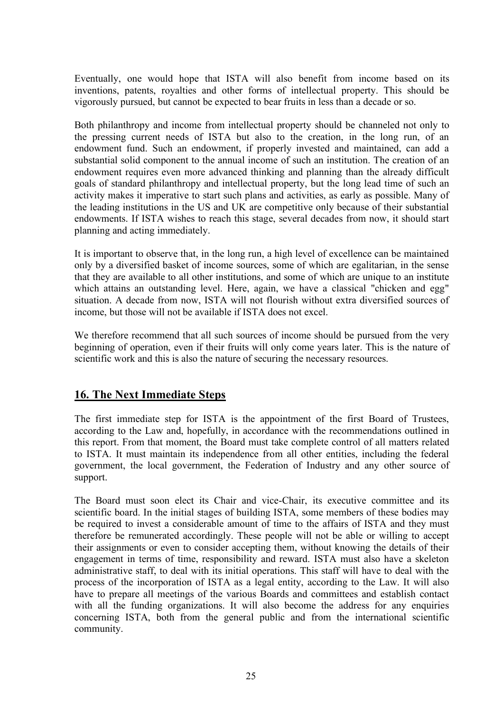Eventually, one would hope that ISTA will also benefit from income based on its inventions, patents, royalties and other forms of intellectual property. This should be vigorously pursued, but cannot be expected to bear fruits in less than a decade or so.

Both philanthropy and income from intellectual property should be channeled not only to the pressing current needs of ISTA but also to the creation, in the long run, of an endowment fund. Such an endowment, if properly invested and maintained, can add a substantial solid component to the annual income of such an institution. The creation of an endowment requires even more advanced thinking and planning than the already difficult goals of standard philanthropy and intellectual property, but the long lead time of such an activity makes it imperative to start such plans and activities, as early as possible. Many of the leading institutions in the US and UK are competitive only because of their substantial endowments. If ISTA wishes to reach this stage, several decades from now, it should start planning and acting immediately.

It is important to observe that, in the long run, a high level of excellence can be maintained only by a diversified basket of income sources, some of which are egalitarian, in the sense that they are available to all other institutions, and some of which are unique to an institute which attains an outstanding level. Here, again, we have a classical "chicken and egg" situation. A decade from now, ISTA will not flourish without extra diversified sources of income, but those will not be available if ISTA does not excel.

We therefore recommend that all such sources of income should be pursued from the very beginning of operation, even if their fruits will only come years later. This is the nature of scientific work and this is also the nature of securing the necessary resources.

#### **16. The Next Immediate Steps**

The first immediate step for ISTA is the appointment of the first Board of Trustees, according to the Law and, hopefully, in accordance with the recommendations outlined in this report. From that moment, the Board must take complete control of all matters related to ISTA. It must maintain its independence from all other entities, including the federal government, the local government, the Federation of Industry and any other source of support.

The Board must soon elect its Chair and vice-Chair, its executive committee and its scientific board. In the initial stages of building ISTA, some members of these bodies may be required to invest a considerable amount of time to the affairs of ISTA and they must therefore be remunerated accordingly. These people will not be able or willing to accept their assignments or even to consider accepting them, without knowing the details of their engagement in terms of time, responsibility and reward. ISTA must also have a skeleton administrative staff, to deal with its initial operations. This staff will have to deal with the process of the incorporation of ISTA as a legal entity, according to the Law. It will also have to prepare all meetings of the various Boards and committees and establish contact with all the funding organizations. It will also become the address for any enquiries concerning ISTA, both from the general public and from the international scientific community.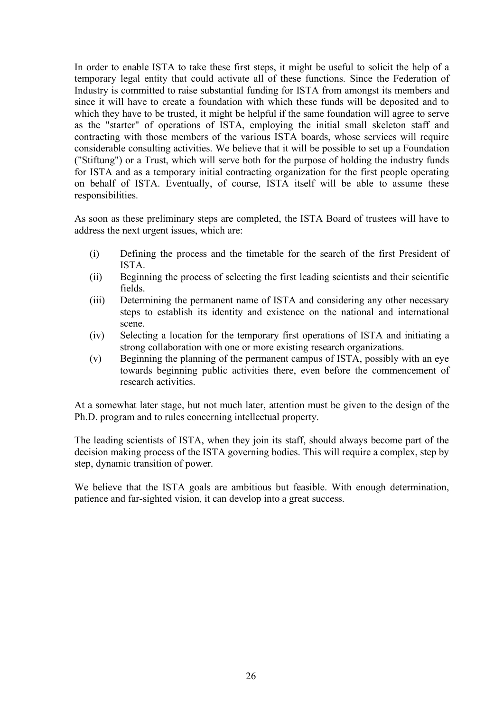In order to enable ISTA to take these first steps, it might be useful to solicit the help of a temporary legal entity that could activate all of these functions. Since the Federation of Industry is committed to raise substantial funding for ISTA from amongst its members and since it will have to create a foundation with which these funds will be deposited and to which they have to be trusted, it might be helpful if the same foundation will agree to serve as the "starter" of operations of ISTA, employing the initial small skeleton staff and contracting with those members of the various ISTA boards, whose services will require considerable consulting activities. We believe that it will be possible to set up a Foundation ("Stiftung") or a Trust, which will serve both for the purpose of holding the industry funds for ISTA and as a temporary initial contracting organization for the first people operating on behalf of ISTA. Eventually, of course, ISTA itself will be able to assume these responsibilities.

As soon as these preliminary steps are completed, the ISTA Board of trustees will have to address the next urgent issues, which are:

- (i) Defining the process and the timetable for the search of the first President of ISTA.
- (ii) Beginning the process of selecting the first leading scientists and their scientific fields.
- (iii) Determining the permanent name of ISTA and considering any other necessary steps to establish its identity and existence on the national and international scene.
- (iv) Selecting a location for the temporary first operations of ISTA and initiating a strong collaboration with one or more existing research organizations.
- (v) Beginning the planning of the permanent campus of ISTA, possibly with an eye towards beginning public activities there, even before the commencement of research activities.

At a somewhat later stage, but not much later, attention must be given to the design of the Ph.D. program and to rules concerning intellectual property.

The leading scientists of ISTA, when they join its staff, should always become part of the decision making process of the ISTA governing bodies. This will require a complex, step by step, dynamic transition of power.

We believe that the ISTA goals are ambitious but feasible. With enough determination, patience and far-sighted vision, it can develop into a great success.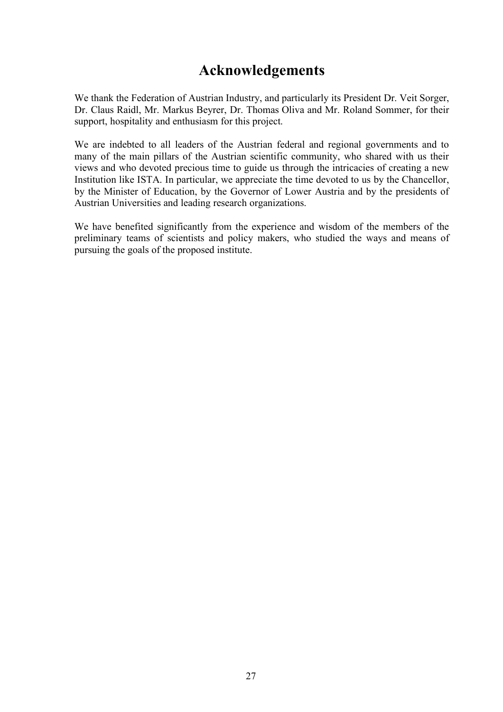## **Acknowledgements**

We thank the Federation of Austrian Industry, and particularly its President Dr. Veit Sorger, Dr. Claus Raidl, Mr. Markus Beyrer, Dr. Thomas Oliva and Mr. Roland Sommer, for their support, hospitality and enthusiasm for this project.

We are indebted to all leaders of the Austrian federal and regional governments and to many of the main pillars of the Austrian scientific community, who shared with us their views and who devoted precious time to guide us through the intricacies of creating a new Institution like ISTA. In particular, we appreciate the time devoted to us by the Chancellor, by the Minister of Education, by the Governor of Lower Austria and by the presidents of Austrian Universities and leading research organizations.

We have benefited significantly from the experience and wisdom of the members of the preliminary teams of scientists and policy makers, who studied the ways and means of pursuing the goals of the proposed institute.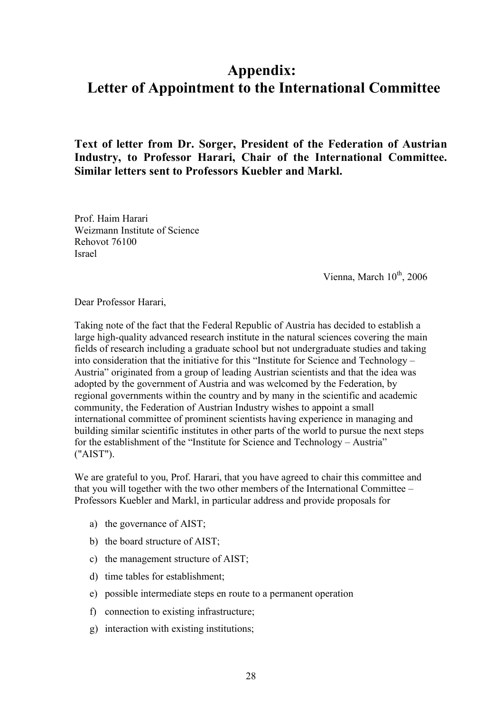## **Appendix: Letter of Appointment to the International Committee**

**Text of letter from Dr. Sorger, President of the Federation of Austrian Industry, to Professor Harari, Chair of the International Committee. Similar letters sent to Professors Kuebler and Markl.**

Prof. Haim Harari Weizmann Institute of Science Rehovot 76100 Israel

Vienna, March 10<sup>th</sup>, 2006

Dear Professor Harari,

Taking note of the fact that the Federal Republic of Austria has decided to establish a large high-quality advanced research institute in the natural sciences covering the main fields of research including a graduate school but not undergraduate studies and taking into consideration that the initiative for this "Institute for Science and Technology – Austria" originated from a group of leading Austrian scientists and that the idea was adopted by the government of Austria and was welcomed by the Federation, by regional governments within the country and by many in the scientific and academic community, the Federation of Austrian Industry wishes to appoint a small international committee of prominent scientists having experience in managing and building similar scientific institutes in other parts of the world to pursue the next steps for the establishment of the "Institute for Science and Technology – Austria" ("AIST").

We are grateful to you, Prof. Harari, that you have agreed to chair this committee and that you will together with the two other members of the International Committee – Professors Kuebler and Markl, in particular address and provide proposals for

- a) the governance of AIST;
- b) the board structure of AIST;
- c) the management structure of AIST;
- d) time tables for establishment;
- e) possible intermediate steps en route to a permanent operation
- f) connection to existing infrastructure;
- g) interaction with existing institutions;